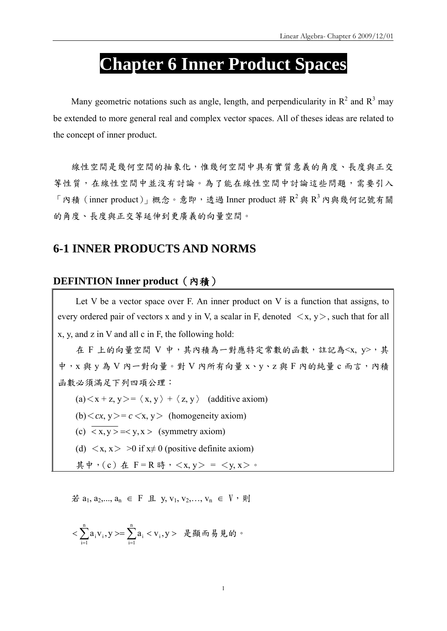# **Chapter 6 Inner Product Spaces**

Many geometric notations such as angle, length, and perpendicularity in  $R^2$  and  $R^3$  may be extended to more general real and complex vector spaces. All of theses ideas are related to the concept of inner product.

線性空間是幾何空間的抽象化,惟幾何空間中具有實質意義的角度、長度與正交 等性質,在線性空間中討論這些問題,需要引入 「內積 (inner product)」概念。意即,透過 Inner product 將  $R^2$ 與  $R^3$  內與幾何記號有關 的角度、長度與正交等延伸到更廣義的向量空間。

# **6-1 INNER PRODUCTS AND NORMS**

### **DEFINTION Inner product**(內積)

Let V be a vector space over F. An inner product on V is a function that assigns, to every ordered pair of vectors x and y in V, a scalar in F, denoted  $\langle x, y \rangle$ , such that for all x, y, and z in V and all c in F, the following hold:

在 F 上的向量空間 V 中,其內積為一對應特定常數的函數,註記為<x, y>,其 中, x 與 y 為 V 內一對向量。對 V 內所有向量 x、y、z 與 F 內的純量 c 而言, 內積 函數必須滿足下列四項公理:

(a)  $\langle x + z, y \rangle = \langle x, y \rangle + \langle z, y \rangle$  (additive axiom)

- (b) $\langle cx, y \rangle = c \langle x, y \rangle$  (homogeneity axiom)
- (c)  $\overline{\langle x, y \rangle} = \langle y, x \rangle$  (symmetry axiom)
- (d)  $\langle x, x \rangle > 0$  if  $x \neq 0$  (positive definite axiom)

其中, (c) 在 F = R 時, < x, y > = < y, x > ·

若  $a_1, a_2, ..., a_n$  ∈ F 且 y, v<sub>1</sub>, v<sub>2</sub>, ..., v<sub>n</sub> ∈ V, 則

$$
<\sum_{i=1}^n a_i v_i, y> = \sum_{i=1}^n a_i < v_i, y> \quad \text{R\hskip-1.5pt E\hskip-1.5pt\hbox{M\hskip-1.2pt\hbox{M}\hbox{m\hskip-1.2pt\hbox{M}\hbox{B}\hbox{B}\hbox{M}} \, \circ
$$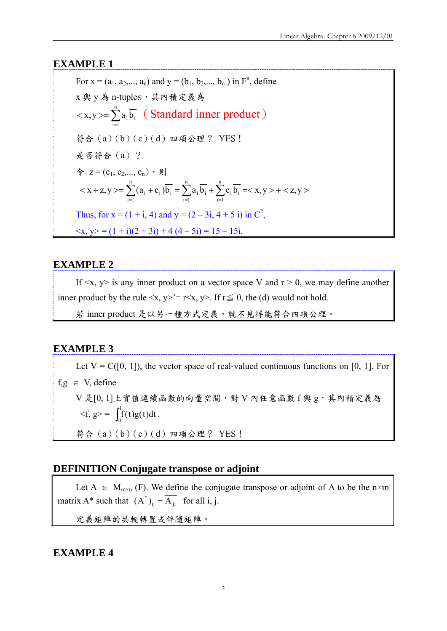### **EXAMPLE 1**

For  $x = (a_1, a_2,..., a_n)$  and  $y = (b_1, b_2,..., b_n)$  in  $F^n$ , define x 與 y 為 n-tuples,其內積定義為  $\langle x, y \rangle = \sum_{i=1}^n$ n  $i = 1$  $x, y \ge \sum a_i \overline{b_i}$  (Standard inner product) 符合(a)(b)(c)(d)四項公理? YES! 是否符合(a)? 令  $z = (c_1, c_2, ..., c_n)$ ,則  $\langle x + z, y \rangle = \sum_{i=1}^{\infty} (a_i + c_i) \overline{b_i} = \sum_{i=1}^{\infty} a_i \overline{b_i} + \sum_{i=1}^{\infty} c_i \overline{b_i} = \langle x, y \rangle + \langle z, y \rangle$ n  $i = 1$  $i$ <sup>U</sup> $i$ n  $i = 1$  $i$ <sup>U</sup>i n  $i = 1$  $i \perp \mathbf{v}_i \cdot \mathbf{v}_i$ Thus, for  $x = (1 + i, 4)$  and  $y = (2 - 3i, 4 + 5i)$  in  $C^2$ ,  $\langle x, y \rangle = (1 + i)(2 + 3i) + 4(4 - 5i) = 15 - 15i$ .

### **EXAMPLE 2**

If  $\langle x, y \rangle$  is any inner product on a vector space V and  $r > 0$ , we may define another inner product by the rule  $\langle x, y \rangle = r \langle x, y \rangle$ . If  $r \leq 0$ , the (d) would not hold.

若 inner product 是以另一種方式定義,就不見得能符合四項公理。

### **EXAMPLE 3**

Let  $V = C([0, 1])$ , the vector space of real-valued continuous functions on [0, 1]. For  $f.g \in V, define$ V 是[0, 1]上實值連續函數的向量空間,對 V 內任意函數 f 與 g,其內積定義為  $\langle f, g \rangle = \int_0^1$  $\int_0^{\cdot} f(t)g(t)dt$ . 符合(a)(b)(c)(d)四項公理? YES!

### **DEFINITION Conjugate transpose or adjoint**

Let  $A \in M_{m \times n}$  (F). We define the conjugate transpose or adjoint of A to be the n×m matrix A\* such that  $(A^*)_{ij} = \overline{A_{ji}}$  for all i, j.

定義矩陣的共軛轉置或伴隨矩陣。

**EXAMPLE 4**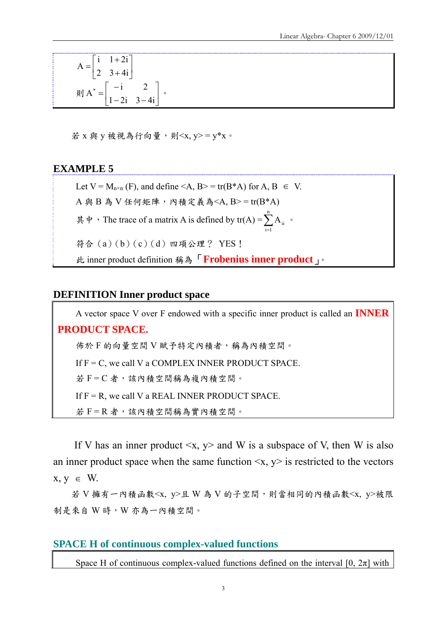$$
A = \begin{bmatrix} i & 1+2i \\ 2 & 3+4i \end{bmatrix}
$$
  
\n
$$
\text{and} \quad A^* = \begin{bmatrix} -i & 2 \\ 1-2i & 3-4i \end{bmatrix}.
$$

若 X 與 V 被視為行向量,則<x, v> = v\*x。

### **EXAMPLE 5**

Let  $V = M_{n \times n}$  (F), and define <A,  $B > = tr(B^*A)$  for A,  $B \in V$ .

 $A$  與 B 為 V 任何矩陣,內積定義為<A, B>=tr(B\*A)

其中, The trace of a matrix A is defined by  $tr(A) = \sum_{i=1}^{n}$  $i = 1$  $A_{ii}$  。

符合(a)(b)(c)(d)四項公理? YES!

此 inner product definition 稱為「**Frobenius inner product**」。

### **DEFINITION Inner product space**

A vector space V over F endowed with a specific inner product is called an **INNER PRODUCT SPACE.**  佈於 F 的向量空間 V 賦予特定內積者,稱為內積空間。 If  $F = C$ , we call V a COMPLEX INNER PRODUCT SPACE. 若 F = C 者,該內積空間稱為複內積空間。 If  $F = R$ , we call V a REAL INNER PRODUCT SPACE. 若 F = R 者,該內積空間稱為實內積空間。

If V has an inner product  $\langle x, y \rangle$  and W is a subspace of V, then W is also an inner product space when the same function  $\langle x, y \rangle$  is restricted to the vectors  $x, y \in W$ .

若 V 擁有一內積函數<x, y>且 W 為 V 的子空間,則當相同的內積函數<x, y>被限 制是來自 W 時,W 亦為一內積空間。

### **SPACE H of continuous complex-valued functions**

Space H of continuous complex-valued functions defined on the interval [0,  $2\pi$ ] with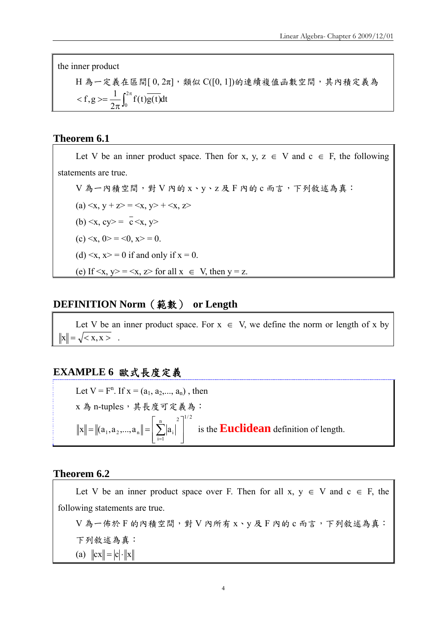the inner product

 $H$ 為一定義在區間 $[0, 2π]$ ,類似  $C([0, 1])$ 的連續複值函數空間,其內積定義為  $f(t)g(t)dt$ 2  $f, g \geq \frac{1}{2\pi} \int_0^{2\pi}$  $\pi$  $\langle f, g \rangle = \frac{1}{2} \int_{0}^{\infty} f(t)g(t)dt$ 

### **Theorem 6.1**

Let V be an inner product space. Then for x, y,  $z \in V$  and  $c \in F$ , the following statements are true.  $V$ 為一內積空間,對  $V$  內的  $x \cdot y \cdot z$  及  $F$  內的  $c$  而言, 下列敘述為真: (a)  $\langle x, y + z \rangle = \langle x, y \rangle + \langle x, z \rangle$ (b)  $\langle x, cy \rangle = \overline{c} \langle x, y \rangle$ (c)  $\langle x, 0 \rangle = \langle 0, x \rangle = 0$ . (d)  $\langle x, x \rangle = 0$  if and only if  $x = 0$ . (e) If  $\langle x, y \rangle = \langle x, z \rangle$  for all  $x \in V$ , then  $y = z$ .

### **DEFINITION Norm**(範數) **or Length**

Let V be an inner product space. For  $x \in V$ , we define the norm or length of x by  $\|x\| = \sqrt{\langle x, x \rangle}$ .

# **EXAMPLE 6** 歐式長度定義

Let  $V = F^n$ . If  $x = (a_1, a_2, ..., a_n)$ , then x 為 n-tuples, 其長度可定義為:  $n = 2$   $1^{1/2}$  $i = 1$  $\|\mathbf{x}\| = \|\mathbf{a}_1, \mathbf{a}_2, ..., \mathbf{a}_n\| = |\sum_{i=1}^{n} \mathbf{a}_i|$  $\overline{\phantom{a}}$  $\overline{\phantom{a}}$  $\perp$  $\overline{\phantom{a}}$  $\mathsf{I}$  $\mathbf{r}$  $\|\mathbf{a}_1, \mathbf{a}_2, ..., \mathbf{a}_n\| = \left[\sum_{i=1}^n |a_i|\right]^2$  is the **Euclidean** definition of length.

### **Theorem 6.2**

Let V be an inner product space over F. Then for all  $x, y \in V$  and  $c \in F$ , the following statements are true.

V為一佈於F的內積空間,對 V 內所有 x、y 及 F 內的 c 而言, 下列敘述為真: 下列敘述為真: (a)  $\|cx\| = |c| \cdot \|x\|$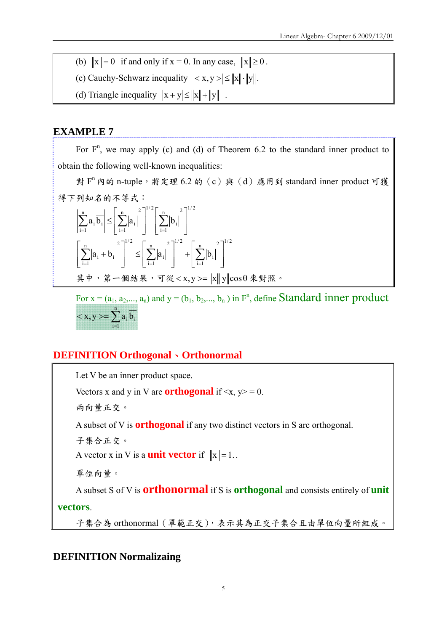- (b)  $\|x\| = 0$  if and only if  $x = 0$ . In any case,  $\|x\| \ge 0$ .
- (c) Cauchy-Schwarz inequality  $\left| \langle x, y \rangle \right| \leq \|x\| \cdot \|y\|$ .
- (d) Triangle inequality  $|x + y| \le ||x|| + ||y||$ .

### **EXAMPLE 7**

For  $F<sup>n</sup>$ , we may apply (c) and (d) of Theorem 6.2 to the standard inner product to obtain the following well-known inequalities:

對 F<sup>n</sup> 內的 n-tuple,將定理 6.2 的 (c)與 (d)應用到 standard inner product 可獲 得下列知名的不等式:

$$
\left|\sum_{i=1}^{n} a_{i} \overline{b_{i}}\right| \leq \left[\sum_{i=1}^{n} |a_{i}|^{2}\right]^{1/2} \left[\sum_{i=1}^{n} |b_{i}|^{2}\right]^{1/2}
$$

$$
\left[\sum_{i=1}^{n} |a_{i} + b_{i}|^{2}\right]^{1/2} \leq \left[\sum_{i=1}^{n} |a_{i}|^{2}\right]^{1/2} + \left[\sum_{i=1}^{n} |b_{i}|^{2}\right]^{1/2}
$$

$$
\neq \psi, \quad \hat{\mathcal{F}} - \text{fik} \neq \psi, \quad \overline{\mathcal{F}} \ll \langle x, y \rangle = \|x\| \|y\| \cos \theta \ll \mathcal{F} \text{ in } \mathbb{R} \text{ s.}
$$

For  $x = (a_1, a_2, \dots, a_n)$  and  $y = (b_1, b_2, \dots, b_n)$  in  $F^n$ , define **Standard inner product**  $\langle x, y \rangle = \sum_{i=1}^n$ n  $i = 1$  $x, y \ge \sum a_i b_i$ 

# **DEFINITION Orthogonal**、**Orthonormal**

Let V be an inner product space.

Vectors x and y in V are **orthogonal** if  $\langle x, y \rangle = 0$ .

兩向量正交。

A subset of V is **orthogonal** if any two distinct vectors in S are orthogonal.

子集合正交。

A vector x in V is a **unit vector** if  $||x|| = 1$ .

單位向量。

A subset S of V is **orthonormal** if S is **orthogonal** and consists entirely of **unit** 

**vectors**.

子集合為 orthonormal(單範正交),表示其為正交子集合且由單位向量所組成。

# **DEFINITION Normalizaing**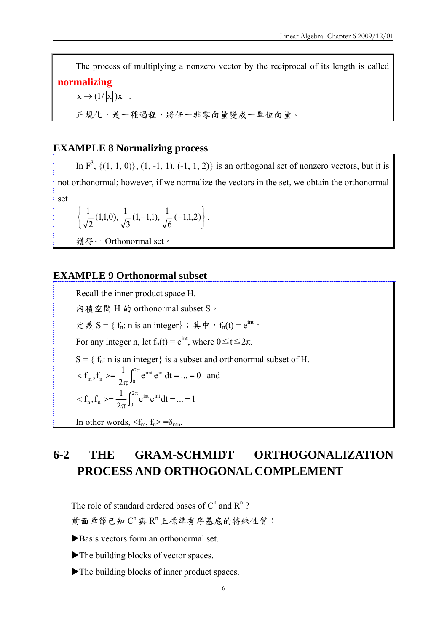The process of multiplying a nonzero vector by the reciprocal of its length is called **normalizing**.

 $x \rightarrow (1/\Vert x \Vert) x$ .

正規化,是一種過程,將任一非零向量變成一單位向量。

### **EXAMPLE 8 Normalizing process**

In  $F^3$ ,  $\{(1, 1, 0)\}, (1, -1, 1), (-1, 1, 2)\}$  is an orthogonal set of nonzero vectors, but it is not orthonormal; however, if we normalize the vectors in the set, we obtain the orthonormal set

$$
\left\{\frac{1}{\sqrt{2}}(1,1,0),\frac{1}{\sqrt{3}}(1,-1,1),\frac{1}{\sqrt{6}}(-1,1,2)\right\}.
$$

獲得一 Orthonormal set。

### **EXAMPLE 9 Orthonormal subset**

Recall the inner product space H. 內積空間 H 的 orthonormal subset S, 定義 S = {  $f_n$ : n is an integer}; 其中,  $f_n(t) = e^{int}$ For any integer n, let  $f_n(t) = e^{int}$ , where  $0 \le t \le 2\pi$ .  $S = \{ f_n : n \text{ is an integer} \}$  is a subset and orthonormal subset of H.  $e^{imt} e^{int} dt = ... = 0$ 2  $f_{m}, f_{n} \geq \frac{1}{2} \int_{1}^{2}$ 0  $\langle f_m, f_n \rangle = \frac{1}{2\pi} \int_0^{2\pi} e^{imt} \overline{e^{int}} dt = ... = 0$  and  $e^{int} e^{int} dt = ... = 1$ 2  $f_n, f_n \geq \frac{1}{2} \int_1^2$ 0  $\langle f_n, f_n \rangle = \frac{1}{2\pi} \int_0^{2\pi} e^{int} \overline{e^{int}} dt = ...$ In other words,  $\langle f_m, f_n \rangle = \delta_{mn}$ .

# **6-2 THE GRAM-SCHMIDT ORTHOGONALIZATION PROCESS AND ORTHOGONAL COMPLEMENT**

The role of standard ordered bases of  $C<sup>n</sup>$  and  $R<sup>n</sup>$ ? 前面章節已知 C"與 R"上標準有序基底的特殊性質:

Basis vectors form an orthonormal set.

- The building blocks of vector spaces.
- $\blacktriangleright$  The building blocks of inner product spaces.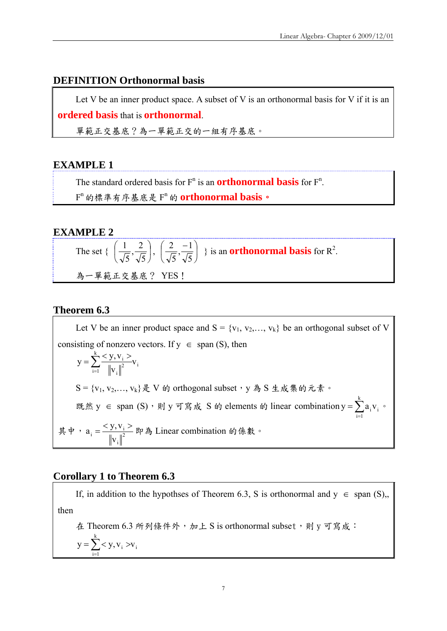### **DEFINITION Orthonormal basis**

Let V be an inner product space. A subset of V is an orthonormal basis for V if it is an **ordered basis** that is **orthonormal**.

單範正交基底?為一單範正交的一組有序基底。

### **EXAMPLE 1**

The standard ordered basis for  $F^n$  is an **orthonormal basis** for  $F^n$ . Fn 的標準有序基底是 Fn 的 **orthonormal basis**。

### **EXAMPLE 2**

The set { 
$$
\left(\frac{1}{\sqrt{5}}, \frac{2}{\sqrt{5}}\right), \left(\frac{2}{\sqrt{5}}, \frac{-1}{\sqrt{5}}\right) }
$$
 is an **orthonormal basis** for R<sup>2</sup>.  
為一學ë.

### **Theorem 6.3**

Let V be an inner product space and  $S = \{v_1, v_2, \dots, v_k\}$  be an orthogonal subset of V consisting of nonzero vectors. If  $y \in span(S)$ , then i k  $\sum_{i=1}$   $\left\| \mathbf{v}_i \right\|^2$ i  $\frac{1}{2}$  v v  $y = \sum_{i=1}^{k} \frac{y y_i y_i}{\left\|y_i\right\|^2} v_i$  $S = \{v_1, v_2, \ldots, v_k\}$ 是 V 的 orthogonal subset, y 為 S 生成集的元素。 既然 y ∈ span (S), 則 y 可寫成 S 的 elements 的 linear combination y =  $\sum_{i=1}^{k} a_i v_i$ .  $i = 1$ 其中,  $a_i = \frac{y_i + y_i}{n}$ i  $\mathbf{v}_i = \frac{\sum \mathbf{y}, \mathbf{v}_i}{\left\| \mathbf{v}_i \right\|^2}$  $a_i = \frac{}{\sqrt{2}}$  即為 Linear combination 的係數。

### **Corollary 1 to Theorem 6.3**

If, in addition to the hypothses of Theorem 6.3, S is orthonormal and  $y \in span(S)$ , then 在 Theorem 6.3 所列條件外, 加上 S is orthonormal subset,則 y 可寫成:

$$
y = \sum_{i=1}^{k} \langle y, v_i \rangle v_i
$$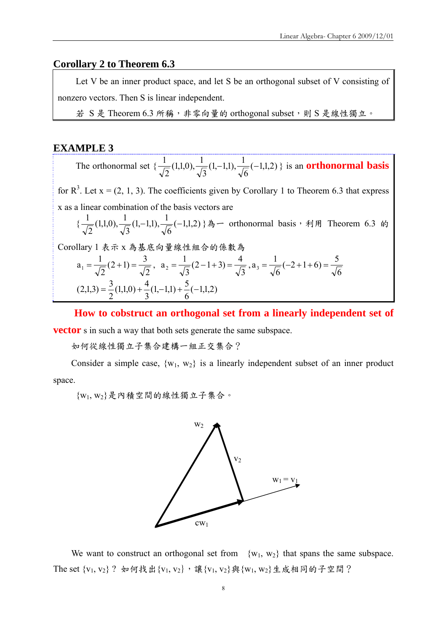### **Corollary 2 to Theorem 6.3**

Let V be an inner product space, and let S be an orthogonal subset of V consisting of nonzero vectors. Then S is linear independent.

若 S 是 Theorem 6.3 所稱,非零向量的 orthogonal subset,則 S 是線性獨立。

### **EXAMPLE 3**

The orthonormal set  $\{\frac{1}{\sqrt{2}}(1,1,0), \frac{1}{\sqrt{3}}(1,-1,1), \frac{1}{\sqrt{6}}(-1,1,2)\}$  is an **orthonormal basis** 

for  $R^3$ . Let  $x = (2, 1, 3)$ . The coefficients given by Corollary 1 to Theorem 6.3 that express x as a linear combination of the basis vectors are

$$
\{\frac{1}{\sqrt{2}}(1,1,0), \frac{1}{\sqrt{3}}(1,-1,1), \frac{1}{\sqrt{6}}(-1,1,2)\} \mathbb{A}-\text{orthonormal basis} \cdot \mathbb{A} \text{ \n H. Theorem 6.3 \n 6\n 7\n 7\n 8\n 8\n 9\n 9\n 1\n 1\n 1\n 1\n 1\n 1\n 1\n 1\n 1\n 1\n 1\n 1\n 1\n 1\n 1\n 1\n 1\n 1\n 1\n 1\n 1\n 1\n 1\n 1\n 1\n 1\n 1\n 1\n 1\n 1\n 1\n 1\n 1\n 1\n 1\n 1\n 1\n 1\n 1\n 1\n 1\n 1\n 1\n 1\n 1\n 1\n 1\n 1\n 1\n 1\n 1\n 1\n 1\n 1\n 1\n 1\n 1\n 1\n 1\n 1\n 1\n 1\n 1\n 1\n 1\n 1\n 1
$$

Corollary 1 表示 x 為基底向量線性組合的係數為

$$
a_1 = \frac{1}{\sqrt{2}} (2+1) = \frac{3}{\sqrt{2}}, \ a_2 = \frac{1}{\sqrt{3}} (2-1+3) = \frac{4}{\sqrt{3}}, a_3 = \frac{1}{\sqrt{6}} (-2+1+6) = \frac{5}{\sqrt{6}}
$$
  
(2,1,3) =  $\frac{3}{2}$ (1,1,0) +  $\frac{4}{3}$ (1,-1,1) +  $\frac{5}{6}$ (-1,1,2)

**How to cobstruct an orthogonal set from a linearly independent set of vector** *s* in such a way that both sets generate the same subspace.

如何從線性獨立子集合建構一組正交集合?

Consider a simple case,  $\{w_1, w_2\}$  is a linearly independent subset of an inner product space.

{w1, w2}是內積空間的線性獨立子集合。



We want to construct an orthogonal set from  $\{w_1, w_2\}$  that spans the same subspace. The set  $\{v_1, v_2\}$ ? 如何找出 $\{v_1, v_2\}$ , 讓 $\{v_1, v_2\}$ 與 $\{w_1, w_2\}$ 生成相同的子空間?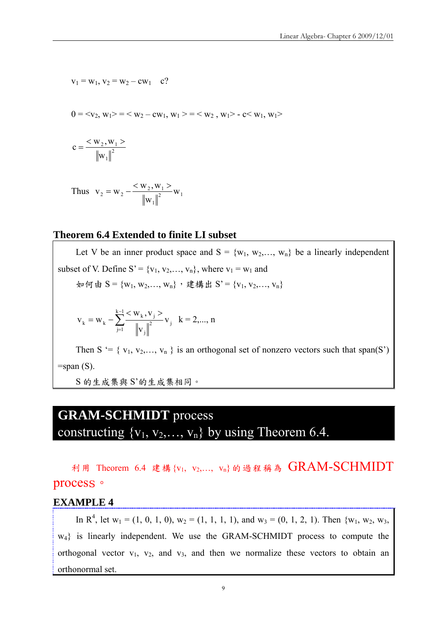$$
v_1 = w_1, v_2 = w_2 - cw_1 \quad c?
$$

$$
0 = \langle v_2, w_1 \rangle = \langle w_2 - cw_1, w_1 \rangle = \langle w_2, w_1 \rangle - c \langle w_1, w_1 \rangle
$$

$$
c = \frac{\langle w_2, w_1 \rangle}{\left\| w_1 \right\|^2}
$$

Thus 
$$
v_2 = w_2 - \frac{\langle w_2, w_1 \rangle}{\|w_1\|^2} w_1
$$

### **Theorem 6.4 Extended to finite LI subset**

Let V be an inner product space and  $S = \{w_1, w_2, \ldots, w_n\}$  be a linearly independent subset of V. Define  $S' = \{v_1, v_2, \ldots, v_n\}$ , where  $v_1 = w_1$  and 如何由 S = {w<sub>1</sub>, w<sub>2</sub>,..., w<sub>n</sub>},建構出 S' = {v<sub>1</sub>, v<sub>2</sub>,..., v<sub>n</sub>}  $\sum^{k-1}$  $=$  $=$  W<sub>k</sub>  $-\sum_{k=1}^{k-1} \frac{< W_k, V_j>}{w_k}$  $\sum_{j=1}$   $\frac{1}{\left\|V_{\cdot}\right\|^2}$   $\mathbf{v}_{j}$ j  $k = W_k - \sum_{k} \frac{\sum_{k} W_k, V_j}{\sum_{k} W_k}$ v  $W_k, V$  $v_k = w_k - \sum_{n=0}^{\infty} \frac{(k+1)(n-1)}{n} v_i$  k = 2,..., n Then S '= { $v_1, v_2,..., v_n$  } is an orthogonal set of nonzero vectors such that span(S')

 $=$ span  $(S)$ .

S 的生成集與 S'的生成集相同。

# **GRAM-SCHMIDT** process constructing  $\{v_1, v_2,..., v_n\}$  by using Theorem 6.4.

利用 Theorem 6.4 建構{v1, v2,…, vn}的過程稱為 GRAM-SCHMIDT process。

### **EXAMPLE 4**

In R<sup>4</sup>, let w<sub>1</sub> = (1, 0, 1, 0), w<sub>2</sub> = (1, 1, 1, 1), and w<sub>3</sub> = (0, 1, 2, 1). Then {w<sub>1</sub>, w<sub>2</sub>, w<sub>3</sub>, w<sub>4</sub>} is linearly independent. We use the GRAM-SCHMIDT process to compute the orthogonal vector  $v_1$ ,  $v_2$ , and  $v_3$ , and then we normalize these vectors to obtain an orthonormal set.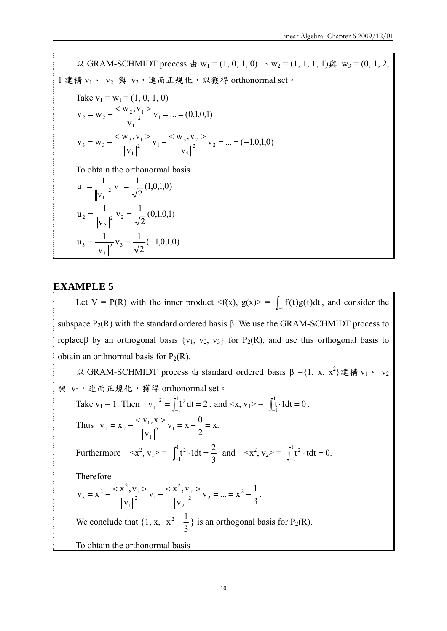以 GRAM-SCHMIDT process 由 w<sub>1</sub> = (1, 0, 1, 0) 、w<sub>2</sub> = (1, 1, 1, 1)與 w<sub>3</sub> = (0, 1, 2,  $1$ 建構 v<sub>1</sub>、 v<sub>2</sub> 與 v<sub>3</sub>,進而正規化,以獲得 orthonormal set。 Take  $v_1 = w_1 = (1, 0, 1, 0)$  $v_1 = ... = (0,1,0,1)$ v  $V_2 = W_2 - \frac{\langle W_2, V_1 \rangle}{\| \| \|^2} V_1$ 1  $v_2 = W_2 - \frac{\langle W_2, V_1 \rangle}{\| W_1 \|^{2}} V_1 = ...$  $v_2 = ... = (-1,0,1,0)$ v  $v_1 - \frac{W_3 V}{W_1}$ v  $V_3 = W_3 - \frac{\langle W_3, V_1 \rangle}{\| \| \|^2} V_1 - \frac{\langle W_3, V_2 \rangle}{\| \| \|^2} V_2$ 2  $v_1$   $-v_1$   $-\frac{w_3 v_2}{u u^2}$ 1  $S_3 = W_3 - \frac{\langle W_3, V_1 \rangle}{\| W_1 \|^{2}} V_1 - \frac{\langle W_3, V_2 \rangle}{\| W_1 \|^{2}} V_2 = ... = (-1)^{2}$ To obtain the orthonormal basis  $v_1 = \frac{1}{\sqrt{2}}(1,0,1,0)$ v  $u_1 = \frac{1}{||u||^2} v_1$ 1  $_1 = \frac{1}{1 - 12} V_1 =$  $v_2 = \frac{1}{\sqrt{2}}(0,1,0,1)$ v  $u_2 = \frac{1}{|x - y|^2} v_2$ 2  $v_2 = \frac{1}{|v_2 - v_2|} v_2 =$  $v_3 = \frac{1}{\sqrt{2}}(-1,0,1,0)$ v  $u_3 = \frac{1}{||u||^2}v_3$ 3  $y_3 = \frac{1}{|x_3|^2} v_3 = \frac{1}{\sqrt{2}}(-$ 

### **EXAMPLE 5**

Let V = P(R) with the inner product  $\langle f(x), g(x) \rangle = \int_{-}^{1}$  $\int_{1}^{1} f(t)g(t)dt$ , and consider the subspace  $P_2(R)$  with the standard ordered basis β. We use the GRAM-SCHMIDT process to replaceβ by an orthogonal basis  $\{v_1, v_2, v_3\}$  for  $P_2(R)$ , and use this orthogonal basis to obtain an orthnormal basis for  $P_2(R)$ .

 $\cup$  GRAM-SCHMIDT process 由 standard ordered basis β ={1, x, x<sup>2</sup>}建構 v<sub>1</sub> · v<sub>2</sub> 與 v3,進而正規化,獲得 orthonormal set。

Take 
$$
v_1 = 1
$$
. Then  $||v_1||^2 = \int_{-1}^{1} 1^2 dt = 2$ , and  $\langle x, v_1 \rangle = \int_{-1}^{1} t \cdot 1 dt = 0$ .  
\nThus  $v_2 = x_2 - \frac{\langle v_1, x \rangle}{||v_1||^2} v_1 = x - \frac{0}{2} = x$ .  
\nFurthermore  $\langle x^2, v_1 \rangle = \int_{-1}^{1} t^2 \cdot 1 dt = \frac{2}{3}$  and  $\langle x^2, v_2 \rangle = \int_{-1}^{1} t^2 \cdot 1 dt = 0$ .

Therefore

$$
v_3 = x^2 - \frac{< x^2, v_1 >}{\left\|v_1\right\|^2} v_1 - \frac{< x^2, v_2 >}{\left\|v_2\right\|^2} v_2 = ... = x^2 - \frac{1}{3}.
$$

We conclude that  $\{1, x, x^2 - \frac{1}{3}\}$  is an orthogonal basis for P<sub>2</sub>(R).

To obtain the orthonormal basis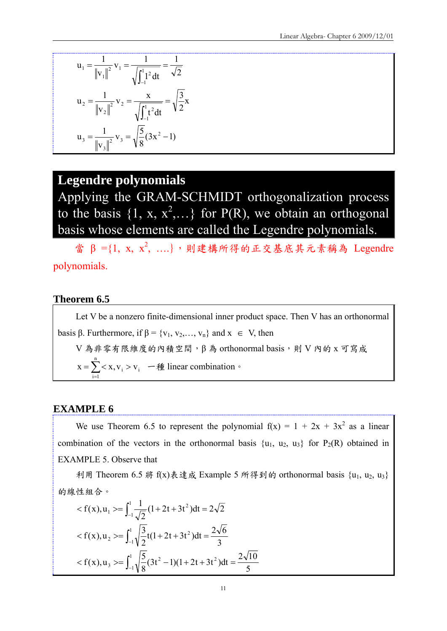$$
u_1 = \frac{1}{\|v_1\|^2} v_1 = \frac{1}{\sqrt{\int_{-1}^1 2 dt}} = \frac{1}{\sqrt{2}}
$$
  

$$
u_2 = \frac{1}{\|v_2\|^2} v_2 = \frac{x}{\sqrt{\int_{-1}^1 t^2 dt}} = \sqrt{\frac{3}{2}} x
$$
  

$$
u_3 = \frac{1}{\|v_3\|^2} v_3 = \sqrt{\frac{5}{8}} (3x^2 - 1)
$$

# **Legendre polynomials**

Applying the GRAM-SCHMIDT orthogonalization process to the basis  $\{1, x, x^2,...\}$  for P(R), we obtain an orthogonal basis whose elements are called the Legendre polynomials.

當 β ={1, x, x2, ....},則建構所得的正交基底其元素稱為 Legendre polynomials.

### **Theorem 6.5**

Let V be a nonzero finite-dimensional inner product space. Then V has an orthonormal basis β. Furthermore, if  $\beta = \{v_1, v_2, \dots, v_n\}$  and  $x \in V$ , then  $V$ 為非零有限維度的內積空間, $β$ 為 orthonormal basis,則  $V$  內的 x 可寫成  $=\sum_{i=1}^{ } < x, v_i >$ n  $i = 1$  $x = \sum x_i, v_i > v_i$  — 種 linear combination.

### **EXAMPLE 6**

We use Theorem 6.5 to represent the polynomial  $f(x) = 1 + 2x + 3x^2$  as a linear combination of the vectors in the orthonormal basis  $\{u_1, u_2, u_3\}$  for  $P_2(R)$  obtained in EXAMPLE 5. Observe that

利用 Theorem 6.5 將 f(x)表達成 Example 5 所得到的 orthonormal basis {u1, u2, u3} 的線性組合。

$$
< f(x), u_1 > = \int_{-1}^{1} \frac{1}{\sqrt{2}} (1 + 2t + 3t^2) dt = 2\sqrt{2}
$$
  

$$
< f(x), u_2 > = \int_{-1}^{1} \sqrt{\frac{3}{2}} t (1 + 2t + 3t^2) dt = \frac{2\sqrt{6}}{3}
$$
  

$$
< f(x), u_3 > = \int_{-1}^{1} \sqrt{\frac{5}{8}} (3t^2 - 1)(1 + 2t + 3t^2) dt = \frac{2\sqrt{10}}{5}
$$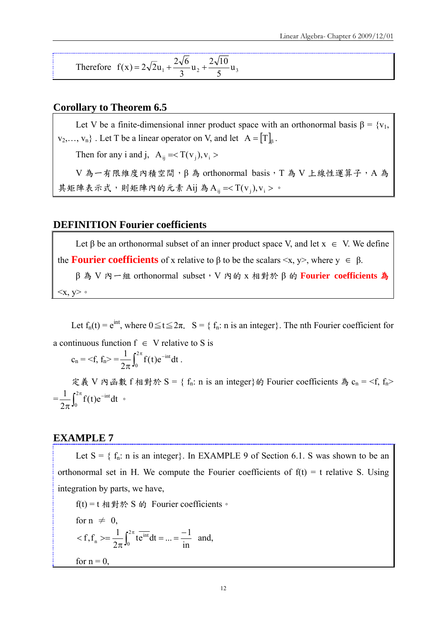Therefore 
$$
f(x) = 2\sqrt{2}u_1 + \frac{2\sqrt{6}}{3}u_2 + \frac{2\sqrt{10}}{5}u_3
$$

### **Corollary to Theorem 6.5**

Let V be a finite-dimensional inner product space with an orthonormal basis  $\beta = \{v_1,$  $v_2, \ldots, v_n$  . Let T be a linear operator on V, and let  $A = [T]_\beta$ . Then for any i and j,  $A_{ij} =$ 

 $V$ 為一有限維度內積空間, $β$ 為 orthonormal basis, T為 V 上線性運算子, A 為 其矩陣表示式,則矩陣內的元素 Aij 為 $A_{ij} = < T(v_j), v_i >$ 。

### **DEFINITION Fourier coefficients**

Let  $\beta$  be an orthonormal subset of an inner product space V, and let  $x \in V$ . We define the **Fourier coefficients** of x relative to  $\beta$  to be the scalars  $\langle x, y \rangle$ , where  $y \in \beta$ . β 為 V 內一組 orthonormal subset,V 內的 x 相對於 β 的 **Fourier coefficients** 為

 $\langle x, y \rangle$  .

Let  $f_n(t) = e^{int}$ , where  $0 \le t \le 2\pi$ .  $S = \{f_n: n \text{ is an integer}\}\)$ . The nth Fourier coefficient for a continuous function  $f \in V$  relative to S is

$$
c_n = \text{} = \frac{1}{2\pi} \int_0^{2\pi} f(t) e^{-int} dt \; .
$$

定義 V 內函數 f 相對於 S = {  $f_n$ : n is an integer} 的 Fourier coefficients 為  $c_n = \langle f_n \rangle$  $=\frac{1}{2\pi}\int_0^{2\pi} f(t)e^{-t}$  $\pi$ 2  $\int_0^{2\pi} f(t)e^{-int}dt$ 2  $\frac{1}{2} \int_{0}^{2\pi} f(t) e^{-int} dt$ 

### **EXAMPLE 7**

Let  $S = \{ f_n : n \text{ is an integer} \}$ . In EXAMPLE 9 of Section 6.1. S was shown to be an orthonormal set in H. We compute the Fourier coefficients of  $f(t) = t$  relative S. Using integration by parts, we have,

f(t) = t 相對於 S 的 Fourier coefficients。 for  $n \neq 0$ , in  $f_1 f_n \geq \frac{1}{2\pi} \int_0^{2\pi} t e^{int} dt = ... = \frac{-1}{\pi}$ 0 int  $\langle f, f_n \rangle = \frac{1}{2\pi} \int_0^{2\pi} t e^{int} dt = ... = \frac{-1}{\text{in}}$  and, for  $n = 0$ ,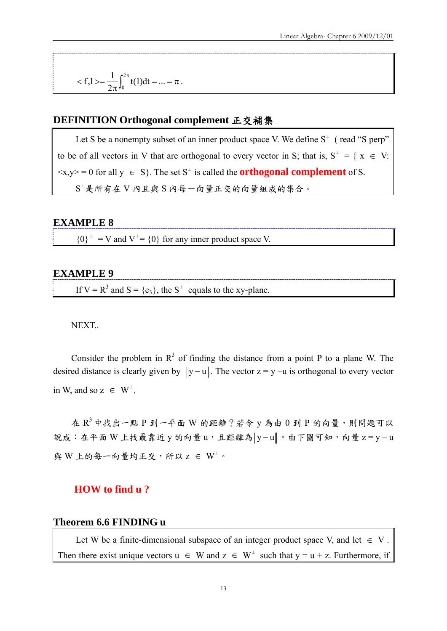$$
=\frac{1}{2\pi}\int_0^{2\pi}t(1)dt=...=\pi\;.
$$

### **DEFINITION Orthogonal complement** 正交補集

Let S be a nonempty subset of an inner product space V. We define  $S^{\perp}$  (read "S perp" to be of all vectors in V that are orthogonal to every vector in S; that is,  $S^{\perp} = \{ x \in V :$  $\langle x, y \rangle = 0$  for all  $y \in S$ . The set S<sup>⊥</sup> is called the **orthogonal complement** of S. S⊥是所有在 V 內且與 S 內每一向量正交的向量組成的集合。

### **EXAMPLE 8**

 ${0}^{\perp}$  = V and V<sup> $\perp$ </sup> = {0} for any inner product space V.

### **EXAMPLE 9**

If  $V = R^3$  and  $S = \{e_3\}$ , the  $S^{\perp}$  equals to the xy-plane.

#### NEXT..

Consider the problem in  $R<sup>3</sup>$  of finding the distance from a point P to a plane W. The desired distance is clearly given by  $||y - u||$ . The vector  $z = y - u$  is orthogonal to every vector in W, and so  $z \in W^{\perp}$ .

在  $R^3$  中找出一點  $P$  到一平面  $W$  的距離?若令  $y$  為由  $0$  到  $P$  的向量, 則問題可以 說成:在平面 W 上找最靠近 y 的向量 u,且距離為 |y-u||。由下圖可知,向量 z = y-u 與 W 上的每一向量均正交,所以  $z \in W^{\perp}$ 。

### **HOW to find u ?**

#### **Theorem 6.6 FINDING u**

Let W be a finite-dimensional subspace of an integer product space V, and let  $\in V$ . Then there exist unique vectors  $u \in W$  and  $z \in W^{\perp}$  such that  $y = u + z$ . Furthermore, if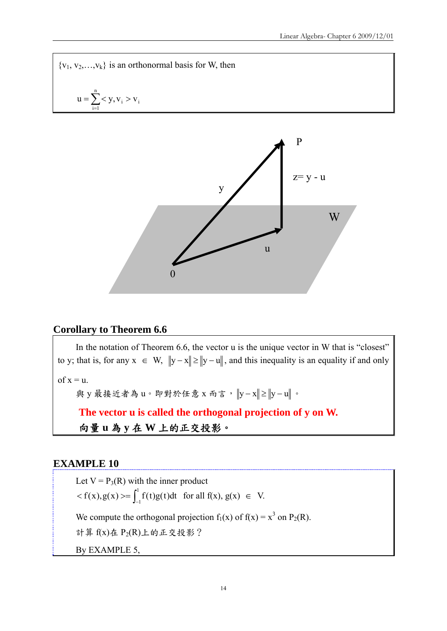${v_1, v_2,...,v_k}$  is an orthonormal basis for W, then  $=\sum_{i=1}$  < y, v<sub>i</sub> > n  $i = 1$  $u = \sum_{i} < y, v_{i} > v_{i}$ 



### **Corollary to Theorem 6.6**

In the notation of Theorem 6.6, the vector u is the unique vector in W that is "closest" to y; that is, for any  $x \in W$ ,  $||y - x|| \ge ||y - u||$ , and this inequality is an equality if and only

of  $x = u$ .

與 y 最接近者為 u。即對於任意 x 而言,  $||y - x|| \ge ||y - u||$ 。

**The vector u is called the orthogonal projection of y on W.**  向量 **u** 為 **y** 在 **W** 上的正交投影。

### **EXAMPLE 10**

Let  $V = P_3(R)$  with the inner product  $\langle f(x), g(x) \rangle = \int_{-}^{1}$  $f(x), g(x) \rightleftharpoons \int_{-1}^{1} f(t)g(t)dt$  for all  $f(x), g(x) \in V$ . We compute the orthogonal projection  $f_1(x)$  of  $f(x) = x^3$  on  $P_2(R)$ . 計算 $f(x)$ 在 $P_2(R)$ 上的正交投影? By EXAMPLE 5,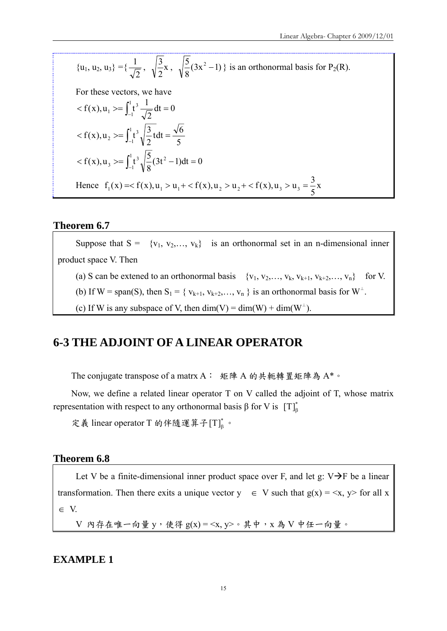$$
\{u_1, u_2, u_3\} = \{\frac{1}{\sqrt{2}}, \sqrt{\frac{3}{2}}x, \sqrt{\frac{5}{8}}(3x^2 - 1)\} \text{ is an orthonormal basis for } P_2(R).
$$

For these vectors, we have

$$
\langle f(x), u_1 \rangle = \int_{-1}^{1} t^3 \frac{1}{\sqrt{2}} dt = 0
$$
  

$$
\langle f(x), u_2 \rangle = \int_{-1}^{1} t^3 \sqrt{\frac{3}{2}} t dt = \frac{\sqrt{6}}{5}
$$
  

$$
\langle f(x), u_3 \rangle = \int_{-1}^{1} t^3 \sqrt{\frac{5}{8}} (3t^2 - 1) dt = 0
$$
  
Hence  $f_1(x) = \langle f(x), u_1 \rangle = u_1 + \langle f(x), u_2 \rangle = u_2 + \langle f(x), u_3 \rangle = u_3 = \frac{3}{5}x$ 

### **Theorem 6.7**

Suppose that  $S = \{v_1, v_2, ..., v_k\}$  is an orthonormal set in an n-dimensional inner product space V. Then (a) S can be extened to an orthonormal basis  $\{v_1, v_2, \ldots, v_k, v_{k+1}, v_{k+2}, \ldots, v_n\}$  for V. (b) If W = span(S), then  $S_1 = \{v_{k+1}, v_{k+2}, \ldots, v_n\}$  is an orthonormal basis for  $W^{\perp}$ .

(c) If W is any subspace of V, then dim(V) = dim(W) + dim(W<sup>⊥</sup>).

# **6-3 THE ADJOINT OF A LINEAR OPERATOR**

The conjugate transpose of a matrx A: 矩陣 A 的共軛轉置矩陣為 A\*。

Now, we define a related linear operator T on V called the adjoint of T, whose matrix representation with respect to any orthonormal basis β for V is  $[T]_6^*$ 

定義 linear operator T 的伴隨運算子 $[T]_{\scriptscriptstyle \rm B}^*$ 。

### **Theorem 6.8**

Let V be a finite-dimensional inner product space over F, and let g:  $V \rightarrow F$  be a linear transformation. Then there exits a unique vector  $y \in V$  such that  $g(x) = \langle x, y \rangle$  for all x  $\in V.$ 

 $V$  內存在唯一向量 y, 使得  $g(x) = \langle x, y \rangle \circ \nleftrightarrow x$  為  $V$  中任一向量。

### **EXAMPLE 1**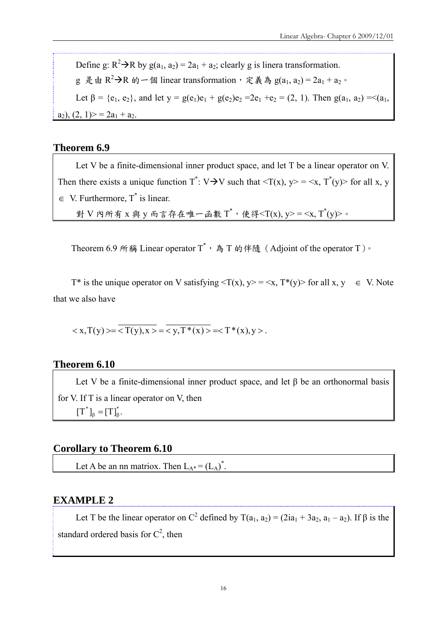Define g:  $R^2 \rightarrow R$  by g(a<sub>1</sub>, a<sub>2</sub>) = 2a<sub>1</sub> + a<sub>2</sub>; clearly g is linera transformation. g 是由 R<sup>2</sup>→R 的一個 linear transformation,定義為 g(a<sub>1</sub>, a<sub>2</sub>) = 2a<sub>1</sub> + a<sub>2</sub>。 Let  $\beta = \{e_1, e_2\}$ , and let  $y = g(e_1)e_1 + g(e_2)e_2 = 2e_1 + e_2 = (2, 1)$ . Then  $g(a_1, a_2) = \langle (a_1, a_2), (b_1, b_2), (c_2, b_1), (d_2, b_2), (e_2, b_2), (f_1, f_2), (g_2, f_1), (h_2, f_2), (h_1, h_2), (i_2, h_2), (j_2, h_2), (k_2, h_2), (k_2, h_2), (l_1, l_2), (l_2, h_2),$  $a_2$ ),  $(2, 1)$  > = 2 $a_1$  +  $a_2$ .

### **Theorem 6.9**

Let V be a finite-dimensional inner product space, and let T be a linear operator on V. Then there exists a unique function  $T^*$ : V $\rightarrow$ V such that  $\langle T(x), y \rangle = \langle x, T^*(y) \rangle$  for all x, y  $\in$  V. Furthermore, T<sup>\*</sup> is linear. 對 V 內所有 x 與 y 而言存在唯一函數 T<sup>\*</sup>, 使得<T(x), y> = <x, T<sup>\*</sup>(y)>。

Theorem 6.9 所稱 Linear operator  $T^*$ , 為 T 的伴隨 (Adjoint of the operator T)  $\cdot$ 

T\* is the unique operator on V satisfying  $\langle T(x), y \rangle = \langle x, T^*(y) \rangle$  for all x, y  $\in V$ . Note that we also have

$$
\langle x, T(y) \rangle = \langle T(y), x \rangle = \langle y, T^*(x) \rangle = \langle T^*(x), y \rangle.
$$

### **Theorem 6.10**

Let V be a finite-dimensional inner product space, and let  $\beta$  be an orthonormal basis for V. If T is a linear operator on V, then  $[T^*]_{\beta} = [T]_{\beta}^*$ .

### **Corollary to Theorem 6.10**

Let A be an nn matriox. Then  $L_{A^*} = (L_A)^*$ .

### **EXAMPLE 2**

Let T be the linear operator on C<sup>2</sup> defined by T( $a_1$ ,  $a_2$ ) = ( $2ia_1 + 3a_2$ ,  $a_1 - a_2$ ). If  $\beta$  is the standard ordered basis for  $C^2$ , then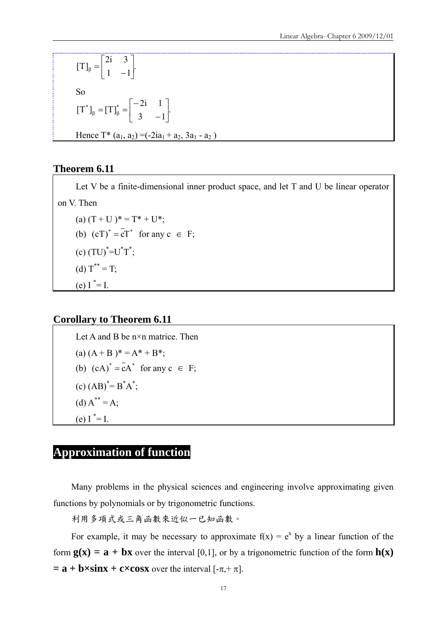$\begin{bmatrix} 1 & -1 \end{bmatrix}$ . 2i 3  $[T]_{\beta} = \begin{vmatrix} 1 & 1 \\ 1 & -1 \end{vmatrix}$  $\overline{\phantom{a}}$  $\begin{vmatrix} 2i & 3 \\ 1 & -1 \end{vmatrix}$ L  $\beta = \begin{vmatrix} 2i & 3 \\ 1 & -1 \end{vmatrix}$ So  $\begin{vmatrix} 3 & -1 \end{vmatrix}$ .  $[T^*]_{\beta} = [T]_{\beta}^* = \begin{bmatrix} -2i & 1 \\ 3 & 1 \end{bmatrix}$  $\rfloor$  $\begin{vmatrix} -2i & 1 \\ 3 & -1 \end{vmatrix}$ L  $\mathsf{I}$  $\overline{a}$  $\overline{a}$  $_{\beta}$  =  $[T]_{\beta}^{*}$  = Hence  $T^*$  (a<sub>1</sub>, a<sub>2</sub>) = (-2ia<sub>1</sub> + a<sub>2</sub>, 3a<sub>1</sub> - a<sub>2</sub>)

### **Theorem 6.11**

Let V be a finite-dimensional inner product space, and let T and U be linear operator on V. Then

(a)  $(T + U)^* = T^* + U^*$ ; (b)  $(cT)^* = cT^*$  for any  $c \in F$ ;  $\text{(c)} \left( \text{T} \text{U} \right)^* = \text{U}^* \text{T}^*;$ (d)  $T^{**} = T$ ; (e)  $I^* = I$ .

### **Corollary to Theorem 6.11**

Let A and B be n×n matrice. Then (a)  $(A + B)*= A* + B*$ ; (b)  $(cA)^* = cA^*$  for any  $c \in F$ ;  $(c) (AB)^{*} = B^{*}A^{*};$ (d)  $A^{**} = A$ ; (e)  $I^* = I$ .

# **Approximation of function**

Many problems in the physical sciences and engineering involve approximating given functions by polynomials or by trigonometric functions.

利用多項式或三角函數來近似一已知函數。

For example, it may be necessary to approximate  $f(x) = e^x$  by a linear function of the form  $g(x) = a + bx$  over the interval [0,1], or by a trigonometric function of the form  $h(x)$  $=$  **a** + **b**×sinx + **c**×cosx over the interval  $[-\pi, +\pi]$ .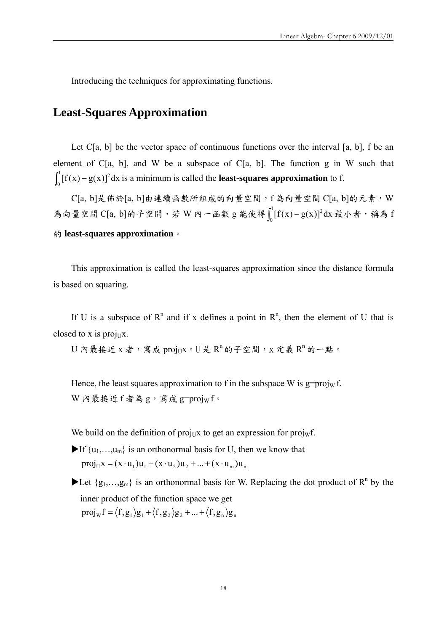Introducing the techniques for approximating functions.

# **Least-Squares Approximation**

Let  $C[a, b]$  be the vector space of continuous functions over the interval  $[a, b]$ , f be an element of  $C[a, b]$ , and W be a subspace of  $C[a, b]$ . The function g in W such that  $\int_0^1 [f(x) - g(x)]^2 dx$  is a minimum is called the **least-squares approximation** to f.

 $C[a, b]$ 是佈於 $[a, b]$ 由連續函數所組成的向量空間,f為向量空間 $C[a, b]$ 的元素, $W$ 為向量空間  $C[a, b]$ 的子空間,若 W 內一函數 g 能使得 $\int_0^1 [f(x)-g(x)]^2 dx$  最小者,稱為 f 的 **least-squares approximation**。

This approximation is called the least-squares approximation since the distance formula is based on squaring.

If U is a subspace of  $\mathbb{R}^n$  and if x defines a point in  $\mathbb{R}^n$ , then the element of U that is closed to x is proj $UX$ .

 $U$  內最接近  $x$  者, 寫成 proj $_{\rm{UL}}x \cdot U$  是  ${\rm R}^{\rm n}$  的子空間,  $x$  定義  ${\rm R}^{\rm n}$  的一點。

Hence, the least squares approximation to f in the subspace W is  $g=proj_W f$ . W 內最接近 f 者為 g, 寫成 g=projw f。

We build on the definition of proj<sub>U</sub>x to get an expression for proj<sub>W</sub>f.

- If  $\{u_1,...,u_m\}$  is an orthonormal basis for U, then we know that  $proj_{\mathfrak{U}} x = (x \cdot u_1)u_1 + (x \cdot u_2)u_2 + ... + (x \cdot u_m)u_m$
- Let  $\{g_1,...,g_m\}$  is an orthonormal basis for W. Replacing the dot product of  $R^n$  by the inner product of the function space we get  $proj_w f = \langle f, g_1 \rangle g_1 + \langle f, g_2 \rangle g_2 + ... + \langle f, g_n \rangle g_n$